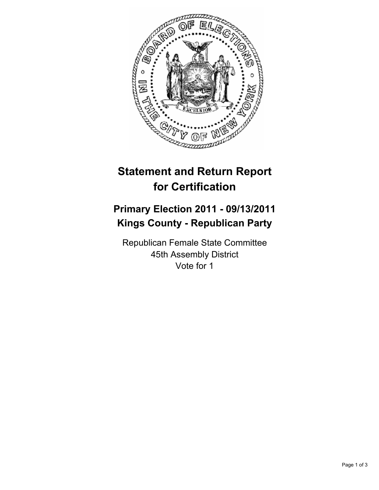

# **Statement and Return Report for Certification**

## **Primary Election 2011 - 09/13/2011 Kings County - Republican Party**

Republican Female State Committee 45th Assembly District Vote for 1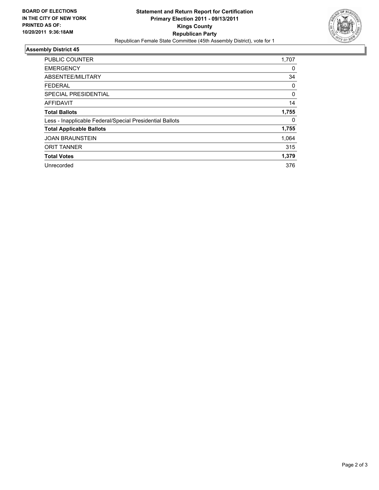

### **Assembly District 45**

| <b>PUBLIC COUNTER</b>                                    | 1,707    |
|----------------------------------------------------------|----------|
|                                                          |          |
| <b>EMERGENCY</b>                                         | 0        |
| ABSENTEE/MILITARY                                        | 34       |
| <b>FEDERAL</b>                                           | 0        |
| SPECIAL PRESIDENTIAL                                     | $\Omega$ |
| <b>AFFIDAVIT</b>                                         | 14       |
| <b>Total Ballots</b>                                     | 1,755    |
| Less - Inapplicable Federal/Special Presidential Ballots | 0        |
| <b>Total Applicable Ballots</b>                          | 1,755    |
| <b>JOAN BRAUNSTEIN</b>                                   | 1.064    |
| <b>ORIT TANNER</b>                                       | 315      |
| <b>Total Votes</b>                                       | 1,379    |
| Unrecorded                                               | 376      |